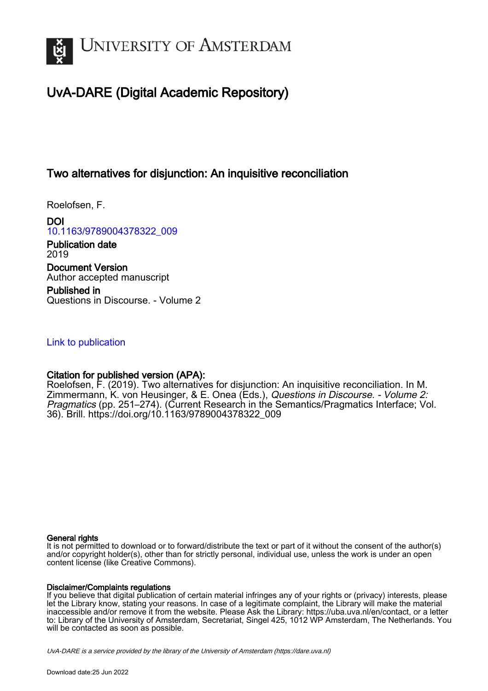

# UvA-DARE (Digital Academic Repository)

# Two alternatives for disjunction: An inquisitive reconciliation

Roelofsen, F.

DOI [10.1163/9789004378322\\_009](https://doi.org/10.1163/9789004378322_009)

Publication date 2019 Document Version Author accepted manuscript

Published in Questions in Discourse. - Volume 2

# [Link to publication](https://dare.uva.nl/personal/pure/en/publications/two-alternatives-for-disjunction-an-inquisitive-reconciliation(6225ddb9-32fc-4872-b2c0-96209931ffeb).html)

# Citation for published version (APA):

Roelofsen, F. (2019). Two alternatives for disjunction: An inquisitive reconciliation. In M. Zimmermann, K. von Heusinger, & E. Onea (Eds.), Questions in Discourse. - Volume 2: Pragmatics (pp. 251–274). (Current Research in the Semantics/Pragmatics Interface; Vol. 36). Brill. [https://doi.org/10.1163/9789004378322\\_009](https://doi.org/10.1163/9789004378322_009)

## General rights

It is not permitted to download or to forward/distribute the text or part of it without the consent of the author(s) and/or copyright holder(s), other than for strictly personal, individual use, unless the work is under an open content license (like Creative Commons).

## Disclaimer/Complaints regulations

If you believe that digital publication of certain material infringes any of your rights or (privacy) interests, please let the Library know, stating your reasons. In case of a legitimate complaint, the Library will make the material inaccessible and/or remove it from the website. Please Ask the Library: https://uba.uva.nl/en/contact, or a letter to: Library of the University of Amsterdam, Secretariat, Singel 425, 1012 WP Amsterdam, The Netherlands. You will be contacted as soon as possible.

UvA-DARE is a service provided by the library of the University of Amsterdam (http*s*://dare.uva.nl)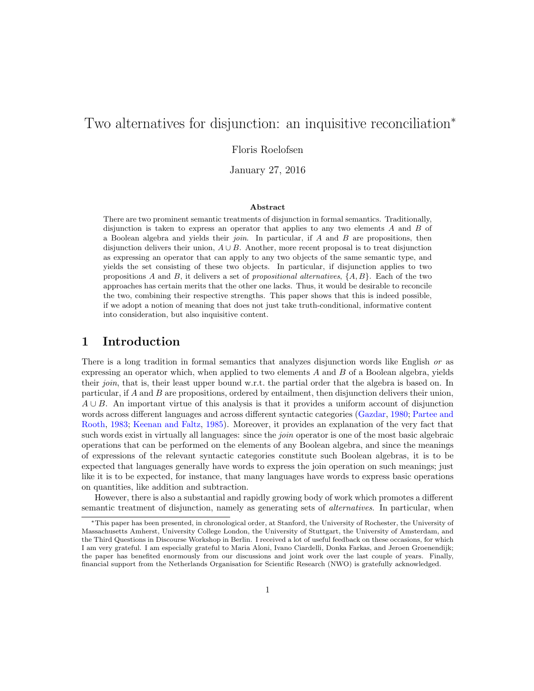# Two alternatives for disjunction: an inquisitive reconciliation<sup>∗</sup>

Floris Roelofsen

January 27, 2016

#### Abstract

There are two prominent semantic treatments of disjunction in formal semantics. Traditionally, disjunction is taken to express an operator that applies to any two elements  $A$  and  $B$  of a Boolean algebra and yields their *join*. In particular, if  $A$  and  $B$  are propositions, then disjunction delivers their union,  $A \cup B$ . Another, more recent proposal is to treat disjunction as expressing an operator that can apply to any two objects of the same semantic type, and yields the set consisting of these two objects. In particular, if disjunction applies to two propositions A and B, it delivers a set of propositional alternatives,  $\{A, B\}$ . Each of the two approaches has certain merits that the other one lacks. Thus, it would be desirable to reconcile the two, combining their respective strengths. This paper shows that this is indeed possible, if we adopt a notion of meaning that does not just take truth-conditional, informative content into consideration, but also inquisitive content.

## 1 Introduction

There is a long tradition in formal semantics that analyzes disjunction words like English or as expressing an operator which, when applied to two elements  $A$  and  $B$  of a Boolean algebra, yields their join, that is, their least upper bound w.r.t. the partial order that the algebra is based on. In particular, if A and B are propositions, ordered by entailment, then disjunction delivers their union,  $A \cup B$ . An important virtue of this analysis is that it provides a uniform account of disjunction words across different languages and across different syntactic categories [\(Gazdar,](#page-17-0) [1980;](#page-17-0) [Partee and](#page-18-0) [Rooth,](#page-18-0) [1983;](#page-18-0) [Keenan and Faltz,](#page-18-1) [1985\)](#page-18-1). Moreover, it provides an explanation of the very fact that such words exist in virtually all languages: since the *join* operator is one of the most basic algebraic operations that can be performed on the elements of any Boolean algebra, and since the meanings of expressions of the relevant syntactic categories constitute such Boolean algebras, it is to be expected that languages generally have words to express the join operation on such meanings; just like it is to be expected, for instance, that many languages have words to express basic operations on quantities, like addition and subtraction.

However, there is also a substantial and rapidly growing body of work which promotes a different semantic treatment of disjunction, namely as generating sets of *alternatives*. In particular, when

<sup>∗</sup>This paper has been presented, in chronological order, at Stanford, the University of Rochester, the University of Massachusetts Amherst, University College London, the University of Stuttgart, the University of Amsterdam, and the Third Questions in Discourse Workshop in Berlin. I received a lot of useful feedback on these occasions, for which I am very grateful. I am especially grateful to Maria Aloni, Ivano Ciardelli, Donka Farkas, and Jeroen Groenendijk; the paper has benefited enormously from our discussions and joint work over the last couple of years. Finally, financial support from the Netherlands Organisation for Scientific Research (NWO) is gratefully acknowledged.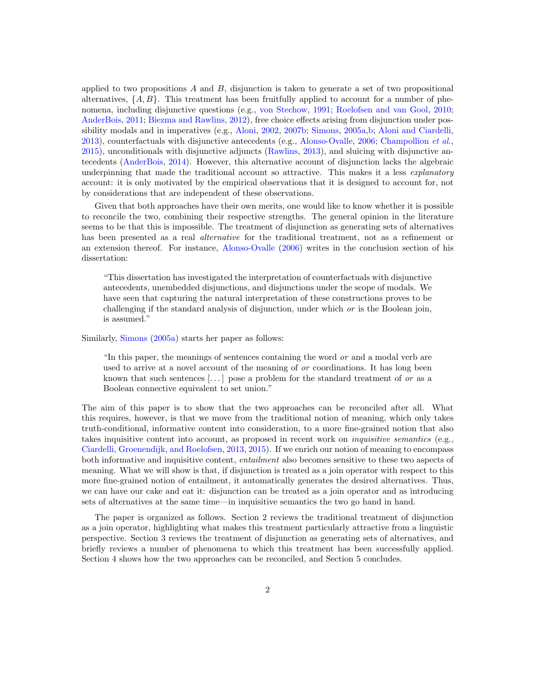applied to two propositions  $A$  and  $B$ , disjunction is taken to generate a set of two propositional alternatives,  $\{A, B\}$ . This treatment has been fruitfully applied to account for a number of phenomena, including disjunctive questions (e.g., [von Stechow,](#page-19-0) [1991;](#page-19-0) [Roelofsen and van Gool,](#page-19-1) [2010;](#page-19-1) [AnderBois,](#page-16-0) [2011;](#page-16-0) [Biezma and Rawlins,](#page-16-1) [2012\)](#page-16-1), free choice effects arising from disjunction under possibility modals and in imperatives (e.g., [Aloni,](#page-16-2) [2002,](#page-16-2) [2007b;](#page-16-3) [Simons,](#page-19-2) [2005a,](#page-19-2)[b;](#page-19-3) [Aloni and Ciardelli,](#page-16-4) [2013\)](#page-16-4), counterfactuals with disjunctive antecedents (e.g., [Alonso-Ovalle,](#page-16-5) [2006;](#page-16-5) [Champollion](#page-17-1) *et al.*, [2015\)](#page-17-1), unconditionals with disjunctive adjuncts [\(Rawlins,](#page-19-4) [2013\)](#page-19-4), and sluicing with disjunctive antecedents [\(AnderBois,](#page-16-6) [2014\)](#page-16-6). However, this alternative account of disjunction lacks the algebraic underpinning that made the traditional account so attractive. This makes it a less *explanatory* account: it is only motivated by the empirical observations that it is designed to account for, not by considerations that are independent of these observations.

Given that both approaches have their own merits, one would like to know whether it is possible to reconcile the two, combining their respective strengths. The general opinion in the literature seems to be that this is impossible. The treatment of disjunction as generating sets of alternatives has been presented as a real *alternative* for the traditional treatment, not as a refinement or an extension thereof. For instance, [Alonso-Ovalle](#page-16-5) [\(2006\)](#page-16-5) writes in the conclusion section of his dissertation:

"This dissertation has investigated the interpretation of counterfactuals with disjunctive antecedents, unembedded disjunctions, and disjunctions under the scope of modals. We have seen that capturing the natural interpretation of these constructions proves to be challenging if the standard analysis of disjunction, under which or is the Boolean join, is assumed."

Similarly, [Simons](#page-19-2) [\(2005a\)](#page-19-2) starts her paper as follows:

"In this paper, the meanings of sentences containing the word  $or$  and a modal verb are used to arrive at a novel account of the meaning of *or* coordinations. It has long been known that such sentences [...] pose a problem for the standard treatment of or as a Boolean connective equivalent to set union."

The aim of this paper is to show that the two approaches can be reconciled after all. What this requires, however, is that we move from the traditional notion of meaning, which only takes truth-conditional, informative content into consideration, to a more fine-grained notion that also takes inquisitive content into account, as proposed in recent work on *inquisitive semantics* (e.g., [Ciardelli, Groenendijk, and Roelofsen,](#page-17-2) [2013,](#page-17-2) [2015\)](#page-17-3). If we enrich our notion of meaning to encompass both informative and inquisitive content, *entailment* also becomes sensitive to these two aspects of meaning. What we will show is that, if disjunction is treated as a join operator with respect to this more fine-grained notion of entailment, it automatically generates the desired alternatives. Thus, we can have our cake and eat it: disjunction can be treated as a join operator and as introducing sets of alternatives at the same time—in inquisitive semantics the two go hand in hand.

The paper is organized as follows. Section [2](#page-3-0) reviews the traditional treatment of disjunction as a join operator, highlighting what makes this treatment particularly attractive from a linguistic perspective. Section [3](#page-5-0) reviews the treatment of disjunction as generating sets of alternatives, and briefly reviews a number of phenomena to which this treatment has been successfully applied. Section [4](#page-9-0) shows how the two approaches can be reconciled, and Section [5](#page-13-0) concludes.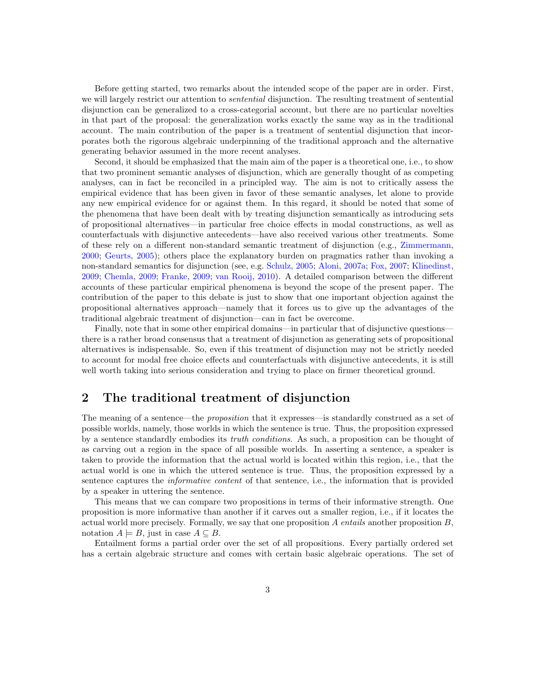Before getting started, two remarks about the intended scope of the paper are in order. First, we will largely restrict our attention to *sentential* disjunction. The resulting treatment of sentential disjunction can be generalized to a cross-categorial account, but there are no particular novelties in that part of the proposal: the generalization works exactly the same way as in the traditional account. The main contribution of the paper is a treatment of sentential disjunction that incorporates both the rigorous algebraic underpinning of the traditional approach and the alternative generating behavior assumed in the more recent analyses.

Second, it should be emphasized that the main aim of the paper is a theoretical one, i.e., to show that two prominent semantic analyses of disjunction, which are generally thought of as competing analyses, can in fact be reconciled in a principled way. The aim is not to critically assess the empirical evidence that has been given in favor of these semantic analyses, let alone to provide any new empirical evidence for or against them. In this regard, it should be noted that some of the phenomena that have been dealt with by treating disjunction semantically as introducing sets of propositional alternatives—in particular free choice effects in modal constructions, as well as counterfactuals with disjunctive antecedents—have also received various other treatments. Some of these rely on a different non-standard semantic treatment of disjunction (e.g., [Zimmermann,](#page-20-0) [2000;](#page-20-0) [Geurts,](#page-17-4) [2005\)](#page-17-4); others place the explanatory burden on pragmatics rather than invoking a non-standard semantics for disjunction (see, e.g. [Schulz,](#page-19-5) [2005;](#page-19-5) [Aloni,](#page-16-7) [2007a;](#page-16-7) [Fox,](#page-17-5) [2007;](#page-17-5) [Klinedinst,](#page-18-2) [2009;](#page-18-2) [Chemla,](#page-17-6) [2009;](#page-17-6) [Franke,](#page-17-7) [2009;](#page-17-7) [van Rooij,](#page-19-6) [2010\)](#page-19-6). A detailed comparison between the different accounts of these particular empirical phenomena is beyond the scope of the present paper. The contribution of the paper to this debate is just to show that one important objection against the propositional alternatives approach—namely that it forces us to give up the advantages of the traditional algebraic treatment of disjunction—can in fact be overcome.

Finally, note that in some other empirical domains—in particular that of disjunctive questions there is a rather broad consensus that a treatment of disjunction as generating sets of propositional alternatives is indispensable. So, even if this treatment of disjunction may not be strictly needed to account for modal free choice effects and counterfactuals with disjunctive antecedents, it is still well worth taking into serious consideration and trying to place on firmer theoretical ground.

# <span id="page-3-0"></span>2 The traditional treatment of disjunction

The meaning of a sentence—the *proposition* that it expresses—is standardly construed as a set of possible worlds, namely, those worlds in which the sentence is true. Thus, the proposition expressed by a sentence standardly embodies its truth conditions. As such, a proposition can be thought of as carving out a region in the space of all possible worlds. In asserting a sentence, a speaker is taken to provide the information that the actual world is located within this region, i.e., that the actual world is one in which the uttered sentence is true. Thus, the proposition expressed by a sentence captures the *informative content* of that sentence, i.e., the information that is provided by a speaker in uttering the sentence.

This means that we can compare two propositions in terms of their informative strength. One proposition is more informative than another if it carves out a smaller region, i.e., if it locates the actual world more precisely. Formally, we say that one proposition  $A$  entails another proposition  $B$ , notation  $A \models B$ , just in case  $A \subseteq B$ .

Entailment forms a partial order over the set of all propositions. Every partially ordered set has a certain algebraic structure and comes with certain basic algebraic operations. The set of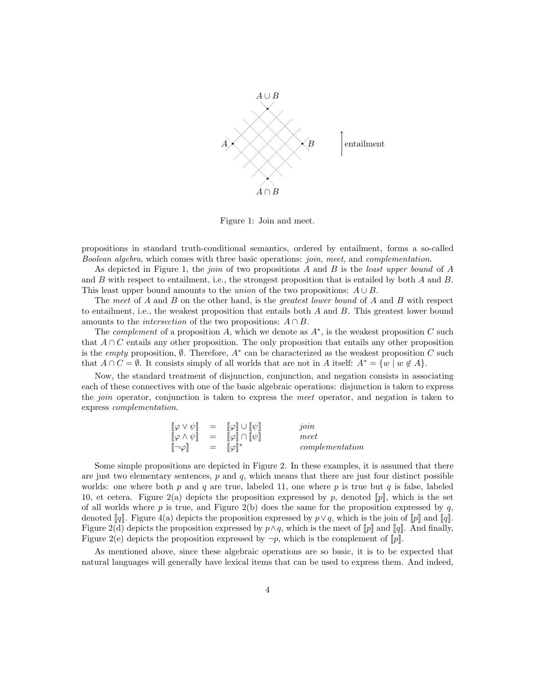

<span id="page-4-0"></span>Figure 1: Join and meet.

propositions in standard truth-conditional semantics, ordered by entailment, forms a so-called Boolean algebra, which comes with three basic operations: join, meet, and complementation.

As depicted in Figure [1,](#page-4-0) the *join* of two propositions  $A$  and  $B$  is the *least upper bound* of  $A$ and B with respect to entailment, i.e., the strongest proposition that is entailed by both A and B. This least upper bound amounts to the *union* of the two propositions:  $A \cup B$ .

The meet of A and B on the other hand, is the greatest lower bound of A and B with respect to entailment, i.e., the weakest proposition that entails both A and B. This greatest lower bound amounts to the *intersection* of the two propositions:  $A \cap B$ .

The *complement* of a proposition  $A$ , which we denote as  $A^*$ , is the weakest proposition  $C$  such that  $A \cap C$  entails any other proposition. The only proposition that entails any other proposition is the *empty* proposition,  $\emptyset$ . Therefore,  $A^*$  can be characterized as the weakest proposition C such that  $A \cap C = \emptyset$ . It consists simply of all worlds that are not in A itself:  $A^* = \{w \mid w \notin A\}$ .

Now, the standard treatment of disjunction, conjunction, and negation consists in associating each of these connectives with one of the basic algebraic operations: disjunction is taken to express the *join* operator, conjunction is taken to express the *meet* operator, and negation is taken to express complementation.

| $\llbracket \varphi \vee \psi \rrbracket$   |     | $= \llbracket \varphi \rrbracket \cup \llbracket \psi \rrbracket$                     | join            |
|---------------------------------------------|-----|---------------------------------------------------------------------------------------|-----------------|
| $\llbracket \varphi \wedge \psi \rrbracket$ |     | $= \lbrack \lbrack \varphi \rbrack \rbrack \cap \lbrack \lbrack \psi \rbrack \rbrack$ | meet            |
| $[\neg \varphi]$                            | $=$ | $\llbracket \varphi \rrbracket^*$                                                     | complementation |

Some simple propositions are depicted in Figure [2.](#page-5-1) In these examples, it is assumed that there are just two elementary sentences,  $p$  and  $q$ , which means that there are just four distinct possible worlds: one where both  $p$  and  $q$  are true, labeled 11, one where  $p$  is true but  $q$  is false, labeled 10, et cetera. Figure [2\(a\)](#page-5-2) depicts the proposition expressed by p, denoted  $[p]$ , which is the set of all worlds where  $p$  is true, and Figure [2\(b\)](#page-5-3) does the same for the proposition expressed by  $q$ , denoted [q]. Figure [4\(a\)](#page-7-0) depicts the proposition expressed by  $p \vee q$ , which is the join of [p] and [q]. Figure [2\(d\)](#page-5-4) depicts the proposition expressed by  $p \wedge q$ , which is the meet of  $\llbracket p \rrbracket$  and  $\llbracket q \rrbracket$ . And finally, Figure [2\(e\)](#page-5-5) depicts the proposition expressed by  $\neg p$ , which is the complement of  $[p]$ .

As mentioned above, since these algebraic operations are so basic, it is to be expected that natural languages will generally have lexical items that can be used to express them. And indeed,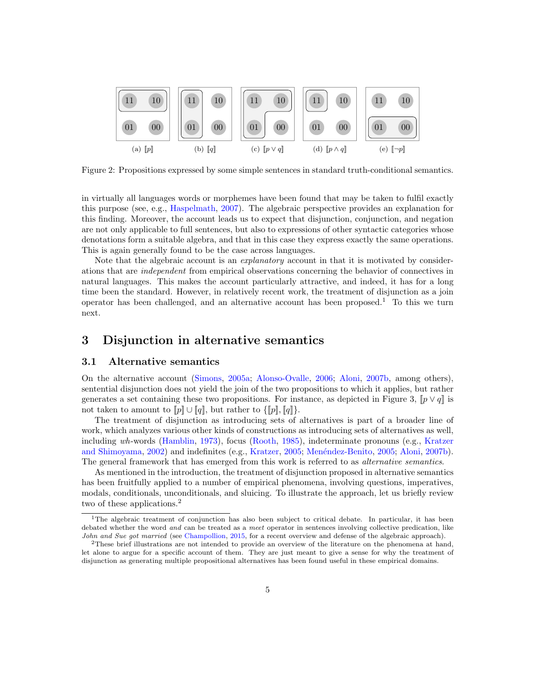<span id="page-5-5"></span><span id="page-5-4"></span><span id="page-5-3"></span><span id="page-5-2"></span>

<span id="page-5-1"></span>Figure 2: Propositions expressed by some simple sentences in standard truth-conditional semantics.

in virtually all languages words or morphemes have been found that may be taken to fulfil exactly this purpose (see, e.g., [Haspelmath,](#page-18-3) [2007\)](#page-18-3). The algebraic perspective provides an explanation for this finding. Moreover, the account leads us to expect that disjunction, conjunction, and negation are not only applicable to full sentences, but also to expressions of other syntactic categories whose denotations form a suitable algebra, and that in this case they express exactly the same operations. This is again generally found to be the case across languages.

Note that the algebraic account is an *explanatory* account in that it is motivated by considerations that are independent from empirical observations concerning the behavior of connectives in natural languages. This makes the account particularly attractive, and indeed, it has for a long time been the standard. However, in relatively recent work, the treatment of disjunction as a join operator has been challenged, and an alternative account has been proposed.<sup>[1](#page-5-6)</sup> To this we turn next.

# <span id="page-5-0"></span>3 Disjunction in alternative semantics

### 3.1 Alternative semantics

On the alternative account [\(Simons,](#page-19-2) [2005a;](#page-19-2) [Alonso-Ovalle,](#page-16-5) [2006;](#page-16-5) [Aloni,](#page-16-3) [2007b,](#page-16-3) among others), sentential disjunction does not yield the join of the two propositions to which it applies, but rather generates a set containing these two propositions. For instance, as depicted in Figure [3,](#page-6-0)  $\llbracket p \vee q \rrbracket$  is not taken to amount to  $[p] \cup [q]$ , but rather to  $\{[p], [q]\}.$ 

The treatment of disjunction as introducing sets of alternatives is part of a broader line of work, which analyzes various other kinds of constructions as introducing sets of alternatives as well, including wh-words [\(Hamblin,](#page-18-4) [1973\)](#page-18-4), focus [\(Rooth,](#page-19-7) [1985\)](#page-19-7), indeterminate pronouns (e.g., [Kratzer](#page-18-5) [and Shimoyama,](#page-18-5) [2002\)](#page-18-5) and indefinites (e.g., [Kratzer,](#page-18-6) [2005;](#page-18-7) Menéndez-Benito, 2005; [Aloni,](#page-16-3) [2007b\)](#page-16-3). The general framework that has emerged from this work is referred to as alternative semantics.

As mentioned in the introduction, the treatment of disjunction proposed in alternative semantics has been fruitfully applied to a number of empirical phenomena, involving questions, imperatives, modals, conditionals, unconditionals, and sluicing. To illustrate the approach, let us briefly review two of these applications.<sup>[2](#page-5-7)</sup>

<span id="page-5-6"></span><sup>&</sup>lt;sup>1</sup>The algebraic treatment of conjunction has also been subject to critical debate. In particular, it has been debated whether the word and can be treated as a meet operator in sentences involving collective predication, like John and Sue got married (see [Champollion,](#page-16-8) [2015,](#page-16-8) for a recent overview and defense of the algebraic approach).

<span id="page-5-7"></span><sup>2</sup>These brief illustrations are not intended to provide an overview of the literature on the phenomena at hand, let alone to argue for a specific account of them. They are just meant to give a sense for why the treatment of disjunction as generating multiple propositional alternatives has been found useful in these empirical domains.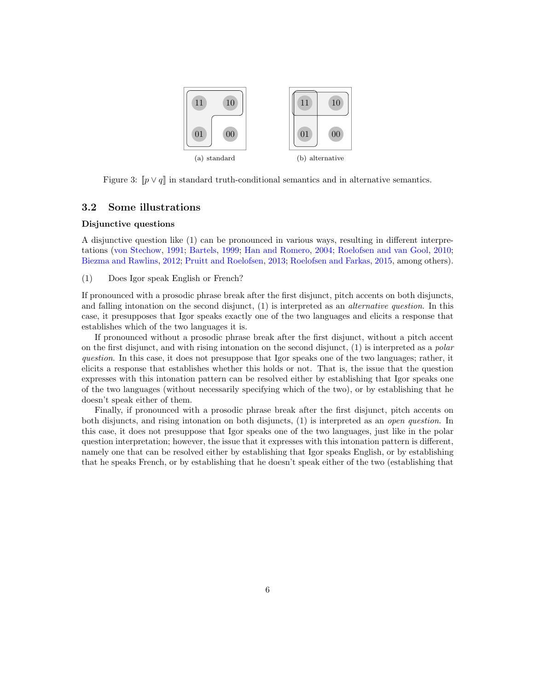<span id="page-6-2"></span><span id="page-6-1"></span>

<span id="page-6-0"></span>Figure 3:  $[p \lor q]$  in standard truth-conditional semantics and in alternative semantics.

## 3.2 Some illustrations

#### Disjunctive questions

A disjunctive question like (1) can be pronounced in various ways, resulting in different interpretations [\(von Stechow,](#page-19-0) [1991;](#page-19-0) [Bartels,](#page-16-9) [1999;](#page-16-9) [Han and Romero,](#page-18-8) [2004;](#page-18-8) [Roelofsen and van Gool,](#page-19-1) [2010;](#page-19-1) [Biezma and Rawlins,](#page-16-1) [2012;](#page-16-1) [Pruitt and Roelofsen,](#page-18-9) [2013;](#page-18-9) [Roelofsen and Farkas,](#page-19-8) [2015,](#page-19-8) among others).

<span id="page-6-3"></span>(1) Does Igor speak English or French?

If pronounced with a prosodic phrase break after the first disjunct, pitch accents on both disjuncts, and falling intonation on the second disjunct, (1) is interpreted as an *alternative question*. In this case, it presupposes that Igor speaks exactly one of the two languages and elicits a response that establishes which of the two languages it is.

If pronounced without a prosodic phrase break after the first disjunct, without a pitch accent on the first disjunct, and with rising intonation on the second disjunct, (1) is interpreted as a polar question. In this case, it does not presuppose that Igor speaks one of the two languages; rather, it elicits a response that establishes whether this holds or not. That is, the issue that the question expresses with this intonation pattern can be resolved either by establishing that Igor speaks one of the two languages (without necessarily specifying which of the two), or by establishing that he doesn't speak either of them.

Finally, if pronounced with a prosodic phrase break after the first disjunct, pitch accents on both disjuncts, and rising intonation on both disjuncts, (1) is interpreted as an open question. In this case, it does not presuppose that Igor speaks one of the two languages, just like in the polar question interpretation; however, the issue that it expresses with this intonation pattern is different, namely one that can be resolved either by establishing that Igor speaks English, or by establishing that he speaks French, or by establishing that he doesn't speak either of the two (establishing that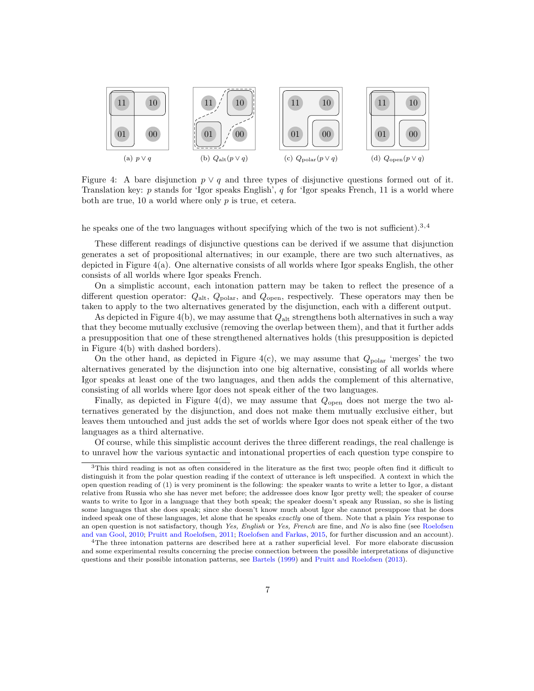<span id="page-7-5"></span><span id="page-7-4"></span><span id="page-7-3"></span><span id="page-7-0"></span>

Figure 4: A bare disjunction  $p \vee q$  and three types of disjunctive questions formed out of it. Translation key:  $p$  stands for 'Igor speaks English',  $q$  for 'Igor speaks French, 11 is a world where both are true, 10 a world where only  $p$  is true, et cetera.

he speaks one of the two languages without specifying which of the two is not sufficient).<sup>[3](#page-7-1),[4](#page-7-2)</sup>

These different readings of disjunctive questions can be derived if we assume that disjunction generates a set of propositional alternatives; in our example, there are two such alternatives, as depicted in Figure [4\(a\).](#page-7-0) One alternative consists of all worlds where Igor speaks English, the other consists of all worlds where Igor speaks French.

On a simplistic account, each intonation pattern may be taken to reflect the presence of a different question operator:  $Q_{\text{alt}}$ ,  $Q_{\text{polar}}$ , and  $Q_{\text{open}}$ , respectively. These operators may then be taken to apply to the two alternatives generated by the disjunction, each with a different output.

As depicted in Figure [4\(b\),](#page-7-3) we may assume that  $Q_{alt}$  strengthens both alternatives in such a way that they become mutually exclusive (removing the overlap between them), and that it further adds a presupposition that one of these strengthened alternatives holds (this presupposition is depicted in Figure [4\(b\)](#page-7-3) with dashed borders).

On the other hand, as depicted in Figure  $4(c)$ , we may assume that  $Q_{\text{polar}}$  'merges' the two alternatives generated by the disjunction into one big alternative, consisting of all worlds where Igor speaks at least one of the two languages, and then adds the complement of this alternative, consisting of all worlds where Igor does not speak either of the two languages.

Finally, as depicted in Figure [4\(d\),](#page-7-5) we may assume that  $Q_{open}$  does not merge the two alternatives generated by the disjunction, and does not make them mutually exclusive either, but leaves them untouched and just adds the set of worlds where Igor does not speak either of the two languages as a third alternative.

Of course, while this simplistic account derives the three different readings, the real challenge is to unravel how the various syntactic and intonational properties of each question type conspire to

<span id="page-7-1"></span> $3$ This third reading is not as often considered in the literature as the first two; people often find it difficult to distinguish it from the polar question reading if the context of utterance is left unspecified. A context in which the open question reading of (1) is very prominent is the following: the speaker wants to write a letter to Igor, a distant relative from Russia who she has never met before; the addressee does know Igor pretty well; the speaker of course wants to write to Igor in a language that they both speak; the speaker doesn't speak any Russian, so she is listing some languages that she does speak; since she doesn't know much about Igor she cannot presuppose that he does indeed speak one of these languages, let alone that he speaks exactly one of them. Note that a plain Yes response to an open question is not satisfactory, though Yes, English or Yes, French are fine, and No is also fine (see [Roelofsen](#page-19-1) [and van Gool,](#page-19-1) [2010;](#page-19-1) [Pruitt and Roelofsen,](#page-18-10) [2011;](#page-18-10) [Roelofsen and Farkas,](#page-19-8) [2015,](#page-19-8) for further discussion and an account).

<span id="page-7-2"></span><sup>4</sup>The three intonation patterns are described here at a rather superficial level. For more elaborate discussion and some experimental results concerning the precise connection between the possible interpretations of disjunctive questions and their possible intonation patterns, see [Bartels](#page-16-9) [\(1999\)](#page-16-9) and [Pruitt and Roelofsen](#page-18-9) [\(2013\)](#page-18-9).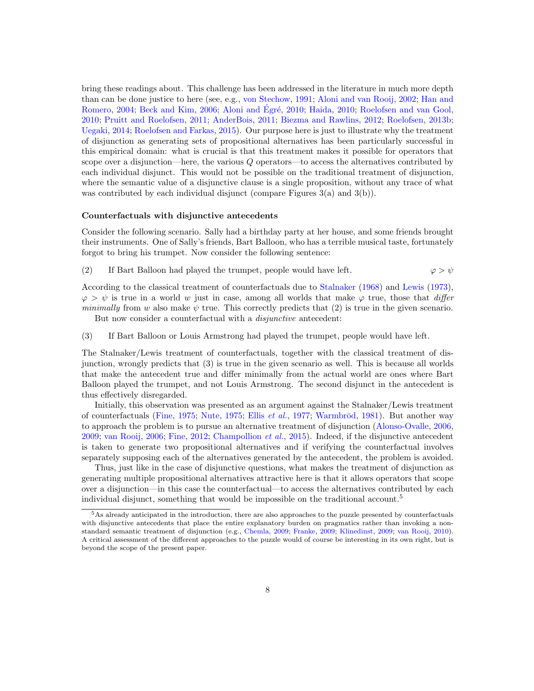bring these readings about. This challenge has been addressed in the literature in much more depth than can be done justice to here (see, e.g., [von Stechow,](#page-19-0) [1991;](#page-19-0) [Aloni and van Rooij,](#page-16-10) [2002;](#page-16-10) [Han and](#page-18-8) [Romero,](#page-18-8) [2004;](#page-18-8) [Beck and Kim,](#page-16-11) [2006;](#page-16-11) [Aloni and](#page-16-12) Egré, [2010;](#page-17-8) [Haida,](#page-17-8) 2010; [Roelofsen and van Gool,](#page-19-1) [2010;](#page-19-1) [Pruitt and Roelofsen,](#page-18-10) [2011;](#page-18-10) [AnderBois,](#page-16-0) [2011;](#page-16-0) [Biezma and Rawlins,](#page-16-1) [2012;](#page-16-1) [Roelofsen,](#page-19-9) [2013b;](#page-19-9) [Uegaki,](#page-19-10) [2014;](#page-19-10) [Roelofsen and Farkas,](#page-19-8) [2015\)](#page-19-8). Our purpose here is just to illustrate why the treatment of disjunction as generating sets of propositional alternatives has been particularly successful in this empirical domain: what is crucial is that this treatment makes it possible for operators that scope over a disjunction—here, the various  $Q$  operators—to access the alternatives contributed by each individual disjunct. This would not be possible on the traditional treatment of disjunction, where the semantic value of a disjunctive clause is a single proposition, without any trace of what was contributed by each individual disjunct (compare Figures [3\(a\)](#page-6-1) and [3\(b\)\)](#page-6-2).

#### Counterfactuals with disjunctive antecedents

Consider the following scenario. Sally had a birthday party at her house, and some friends brought their instruments. One of Sally's friends, Bart Balloon, who has a terrible musical taste, fortunately forgot to bring his trumpet. Now consider the following sentence:

(2) If Bart Balloon had played the trumpet, people would have left.  $\varphi > \psi$ 

According to the classical treatment of counterfactuals due to [Stalnaker](#page-19-11) [\(1968\)](#page-19-11) and [Lewis](#page-18-11) [\(1973\)](#page-18-11),  $\varphi > \psi$  is true in a world w just in case, among all worlds that make  $\varphi$  true, those that differ minimally from w also make  $\psi$  true. This correctly predicts that (2) is true in the given scenario. But now consider a counterfactual with a *disjunctive* antecedent:

(3) If Bart Balloon or Louis Armstrong had played the trumpet, people would have left.

The Stalnaker/Lewis treatment of counterfactuals, together with the classical treatment of disjunction, wrongly predicts that (3) is true in the given scenario as well. This is because all worlds that make the antecedent true and differ minimally from the actual world are ones where Bart Balloon played the trumpet, and not Louis Armstrong. The second disjunct in the antecedent is thus effectively disregarded.

Initially, this observation was presented as an argument against the Stalnaker/Lewis treatment of counterfactuals [\(Fine,](#page-17-9) [1975;](#page-18-12) [Nute,](#page-18-12) 1975; Ellis *[et al.](#page-17-10)*, [1977;](#page-17-10) Warmbrod, [1981\)](#page-20-1). But another way to approach the problem is to pursue an alternative treatment of disjunction [\(Alonso-Ovalle,](#page-16-5) [2006,](#page-16-5) [2009;](#page-16-13) [van Rooij,](#page-19-12) [2006;](#page-19-12) [Fine,](#page-17-11) [2012;](#page-17-11) [Champollion](#page-17-1) et al., [2015\)](#page-17-1). Indeed, if the disjunctive antecedent is taken to generate two propositional alternatives and if verifying the counterfactual involves separately supposing each of the alternatives generated by the antecedent, the problem is avoided.

Thus, just like in the case of disjunctive questions, what makes the treatment of disjunction as generating multiple propositional alternatives attractive here is that it allows operators that scope over a disjunction—in this case the counterfactual—to access the alternatives contributed by each individual disjunct, something that would be impossible on the traditional account.[5](#page-8-0)

<span id="page-8-0"></span><sup>5</sup>As already anticipated in the introduction, there are also approaches to the puzzle presented by counterfactuals with disjunctive antecedents that place the entire explanatory burden on pragmatics rather than invoking a nonstandard semantic treatment of disjunction (e.g., [Chemla,](#page-17-6) [2009;](#page-17-6) [Franke,](#page-17-7) [2009;](#page-17-7) [Klinedinst,](#page-18-2) [2009;](#page-18-2) [van Rooij,](#page-19-6) [2010\)](#page-19-6). A critical assessment of the different approaches to the puzzle would of course be interesting in its own right, but is beyond the scope of the present paper.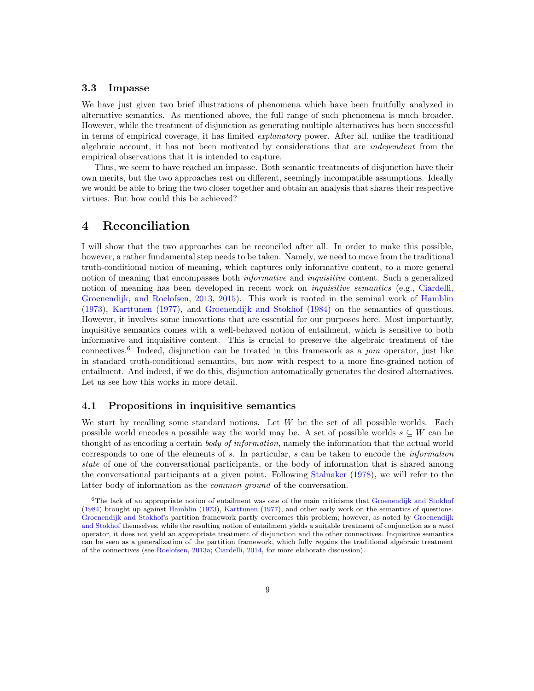### 3.3 Impasse

We have just given two brief illustrations of phenomena which have been fruitfully analyzed in alternative semantics. As mentioned above, the full range of such phenomena is much broader. However, while the treatment of disjunction as generating multiple alternatives has been successful in terms of empirical coverage, it has limited explanatory power. After all, unlike the traditional algebraic account, it has not been motivated by considerations that are independent from the empirical observations that it is intended to capture.

Thus, we seem to have reached an impasse. Both semantic treatments of disjunction have their own merits, but the two approaches rest on different, seemingly incompatible assumptions. Ideally we would be able to bring the two closer together and obtain an analysis that shares their respective virtues. But how could this be achieved?

## <span id="page-9-0"></span>4 Reconciliation

I will show that the two approaches can be reconciled after all. In order to make this possible, however, a rather fundamental step needs to be taken. Namely, we need to move from the traditional truth-conditional notion of meaning, which captures only informative content, to a more general notion of meaning that encompasses both *informative* and *inquisitive* content. Such a generalized notion of meaning has been developed in recent work on *inquisitive semantics* (e.g., [Ciardelli,](#page-17-2) [Groenendijk, and Roelofsen,](#page-17-2) [2013,](#page-17-2) [2015\)](#page-17-3). This work is rooted in the seminal work of [Hamblin](#page-18-4) [\(1973\)](#page-18-4), [Karttunen](#page-18-13) [\(1977\)](#page-18-13), and [Groenendijk and Stokhof](#page-17-12) [\(1984\)](#page-17-12) on the semantics of questions. However, it involves some innovations that are essential for our purposes here. Most importantly, inquisitive semantics comes with a well-behaved notion of entailment, which is sensitive to both informative and inquisitive content. This is crucial to preserve the algebraic treatment of the connectives.<sup>[6](#page-9-1)</sup> Indeed, disjunction can be treated in this framework as a *join* operator, just like in standard truth-conditional semantics, but now with respect to a more fine-grained notion of entailment. And indeed, if we do this, disjunction automatically generates the desired alternatives. Let us see how this works in more detail.

### 4.1 Propositions in inquisitive semantics

We start by recalling some standard notions. Let  $W$  be the set of all possible worlds. Each possible world encodes a possible way the world may be. A set of possible worlds  $s \subseteq W$  can be thought of as encoding a certain body of information, namely the information that the actual world corresponds to one of the elements of s. In particular, s can be taken to encode the information state of one of the conversational participants, or the body of information that is shared among the conversational participants at a given point. Following [Stalnaker](#page-19-13) [\(1978\)](#page-19-13), we will refer to the latter body of information as the common ground of the conversation.

<span id="page-9-1"></span><sup>6</sup>The lack of an appropriate notion of entailment was one of the main criticisms that [Groenendijk and Stokhof](#page-17-12) [\(1984\)](#page-17-12) brought up against [Hamblin](#page-18-4) [\(1973\)](#page-18-4), [Karttunen](#page-18-13) [\(1977\)](#page-18-13), and other early work on the semantics of questions. [Groenendijk and Stokhof'](#page-17-12)s partition framework partly overcomes this problem; however, as noted by [Groenendijk](#page-17-12) [and Stokhof](#page-17-12) themselves, while the resulting notion of entailment yields a suitable treatment of conjunction as a meet operator, it does not yield an appropriate treatment of disjunction and the other connectives. Inquisitive semantics can be seen as a generalization of the partition framework, which fully regains the traditional algebraic treatment of the connectives (see [Roelofsen,](#page-19-14) [2013a;](#page-19-14) [Ciardelli,](#page-17-13) [2014,](#page-17-13) for more elaborate discussion).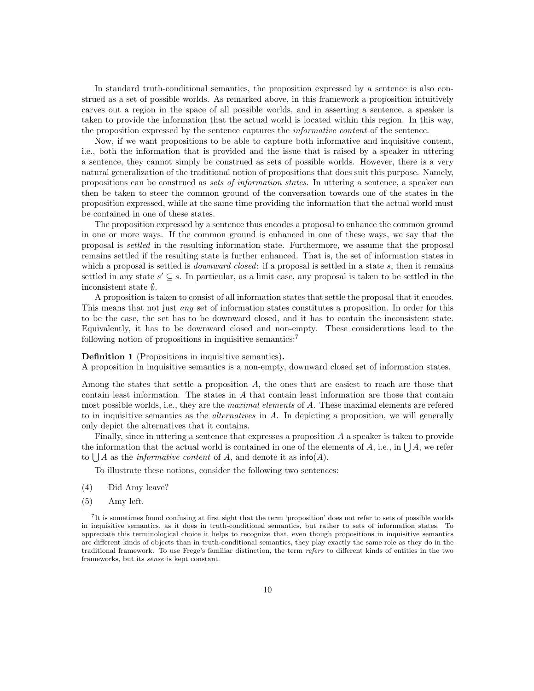In standard truth-conditional semantics, the proposition expressed by a sentence is also construed as a set of possible worlds. As remarked above, in this framework a proposition intuitively carves out a region in the space of all possible worlds, and in asserting a sentence, a speaker is taken to provide the information that the actual world is located within this region. In this way, the proposition expressed by the sentence captures the *informative content* of the sentence.

Now, if we want propositions to be able to capture both informative and inquisitive content, i.e., both the information that is provided and the issue that is raised by a speaker in uttering a sentence, they cannot simply be construed as sets of possible worlds. However, there is a very natural generalization of the traditional notion of propositions that does suit this purpose. Namely, propositions can be construed as sets of information states. In uttering a sentence, a speaker can then be taken to steer the common ground of the conversation towards one of the states in the proposition expressed, while at the same time providing the information that the actual world must be contained in one of these states.

The proposition expressed by a sentence thus encodes a proposal to enhance the common ground in one or more ways. If the common ground is enhanced in one of these ways, we say that the proposal is settled in the resulting information state. Furthermore, we assume that the proposal remains settled if the resulting state is further enhanced. That is, the set of information states in which a proposal is settled is *downward closed*: if a proposal is settled in a state s, then it remains settled in any state  $s' \subseteq s$ . In particular, as a limit case, any proposal is taken to be settled in the inconsistent state ∅.

A proposition is taken to consist of all information states that settle the proposal that it encodes. This means that not just *any* set of information states constitutes a proposition. In order for this to be the case, the set has to be downward closed, and it has to contain the inconsistent state. Equivalently, it has to be downward closed and non-empty. These considerations lead to the following notion of propositions in inquisitive semantics:<sup>[7](#page-10-0)</sup>

Definition 1 (Propositions in inquisitive semantics).

A proposition in inquisitive semantics is a non-empty, downward closed set of information states.

Among the states that settle a proposition A, the ones that are easiest to reach are those that contain least information. The states in A that contain least information are those that contain most possible worlds, i.e., they are the *maximal elements* of A. These maximal elements are refered to in inquisitive semantics as the *alternatives* in  $A$ . In depicting a proposition, we will generally only depict the alternatives that it contains.

Finally, since in uttering a sentence that expresses a proposition A a speaker is taken to provide the information that the actual world is contained in one of the elements of A, i.e., in  $\bigcup A$ , we refer to  $\bigcup A$  as the *informative content* of A, and denote it as  $\mathsf{info}(A)$ .

To illustrate these notions, consider the following two sentences:

- (4) Did Amy leave?
- (5) Amy left.

<span id="page-10-0"></span><sup>&</sup>lt;sup>7</sup>It is sometimes found confusing at first sight that the term 'proposition' does not refer to sets of possible worlds in inquisitive semantics, as it does in truth-conditional semantics, but rather to sets of information states. To appreciate this terminological choice it helps to recognize that, even though propositions in inquisitive semantics are different kinds of objects than in truth-conditional semantics, they play exactly the same role as they do in the traditional framework. To use Frege's familiar distinction, the term refers to different kinds of entities in the two frameworks, but its sense is kept constant.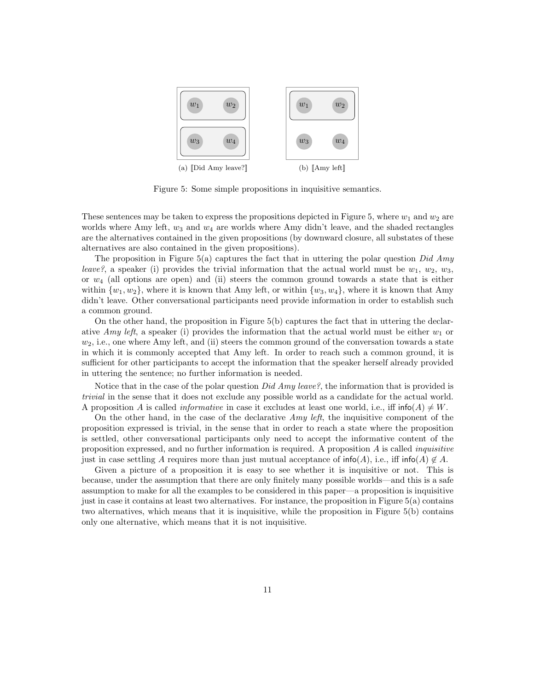<span id="page-11-1"></span>

<span id="page-11-2"></span><span id="page-11-0"></span>Figure 5: Some simple propositions in inquisitive semantics.

These sentences may be taken to express the propositions depicted in Figure [5,](#page-11-0) where  $w_1$  and  $w_2$  are worlds where Amy left,  $w_3$  and  $w_4$  are worlds where Amy didn't leave, and the shaded rectangles are the alternatives contained in the given propositions (by downward closure, all substates of these alternatives are also contained in the given propositions).

The proposition in Figure [5\(a\)](#page-11-1) captures the fact that in uttering the polar question  $Did\ Amy$ leave?, a speaker (i) provides the trivial information that the actual world must be  $w_1, w_2, w_3$ , or  $w_4$  (all options are open) and (ii) steers the common ground towards a state that is either within  $\{w_1, w_2\}$ , where it is known that Amy left, or within  $\{w_3, w_4\}$ , where it is known that Amy didn't leave. Other conversational participants need provide information in order to establish such a common ground.

On the other hand, the proposition in Figure [5\(b\)](#page-11-2) captures the fact that in uttering the declarative Amy left, a speaker (i) provides the information that the actual world must be either  $w_1$  or  $w_2$ , i.e., one where Amy left, and (ii) steers the common ground of the conversation towards a state in which it is commonly accepted that Amy left. In order to reach such a common ground, it is sufficient for other participants to accept the information that the speaker herself already provided in uttering the sentence; no further information is needed.

Notice that in the case of the polar question  $Did \, Amy \, leave\%$ , the information that is provided is trivial in the sense that it does not exclude any possible world as a candidate for the actual world. A proposition A is called *informative* in case it excludes at least one world, i.e., iff  $\text{info}(A) \neq W$ .

On the other hand, in the case of the declarative  $Amy \; left$ , the inquisitive component of the proposition expressed is trivial, in the sense that in order to reach a state where the proposition is settled, other conversational participants only need to accept the informative content of the proposition expressed, and no further information is required. A proposition  $A$  is called *inquisitive* just in case settling A requires more than just mutual acceptance of  $\text{info}(A)$ , i.e., iff  $\text{info}(A) \notin A$ .

Given a picture of a proposition it is easy to see whether it is inquisitive or not. This is because, under the assumption that there are only finitely many possible worlds—and this is a safe assumption to make for all the examples to be considered in this paper—a proposition is inquisitive just in case it contains at least two alternatives. For instance, the proposition in Figure [5\(a\)](#page-11-1) contains two alternatives, which means that it is inquisitive, while the proposition in Figure [5\(b\)](#page-11-2) contains only one alternative, which means that it is not inquisitive.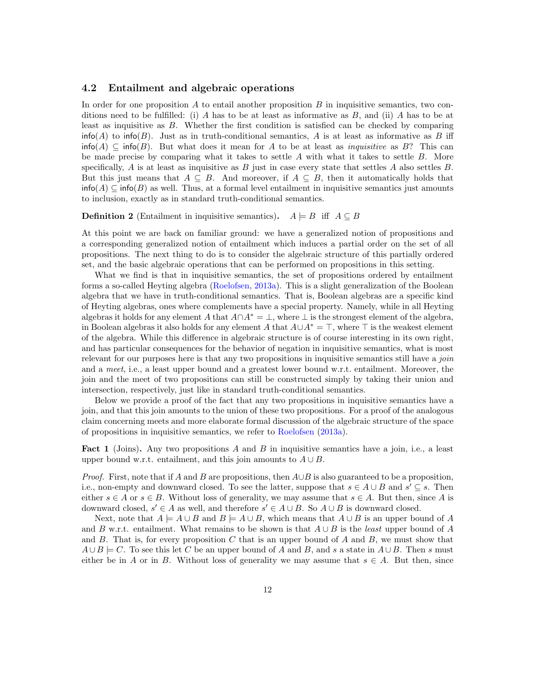### 4.2 Entailment and algebraic operations

In order for one proposition  $A$  to entail another proposition  $B$  in inquisitive semantics, two conditions need to be fulfilled: (i) A has to be at least as informative as  $B$ , and (ii) A has to be at least as inquisitive as B. Whether the first condition is satisfied can be checked by comparing  $\textsf{info}(A)$  to info(B). Just as in truth-conditional semantics, A is at least as informative as B iff  $\textsf{info}(A) \subseteq \textsf{info}(B)$ . But what does it mean for A to be at least as *inquisitive* as B? This can be made precise by comparing what it takes to settle  $A$  with what it takes to settle  $B$ . More specifically, A is at least as inquisitive as B just in case every state that settles A also settles B. But this just means that  $A \subseteq B$ . And moreover, if  $A \subseteq B$ , then it automatically holds that  $\textsf{info}(A) \subseteq \textsf{info}(B)$  as well. Thus, at a formal level entailment in inquisitive semantics just amounts to inclusion, exactly as in standard truth-conditional semantics.

#### **Definition 2** (Entailment in inquisitive semantics).  $A \models B$  iff  $A \subseteq B$

At this point we are back on familiar ground: we have a generalized notion of propositions and a corresponding generalized notion of entailment which induces a partial order on the set of all propositions. The next thing to do is to consider the algebraic structure of this partially ordered set, and the basic algebraic operations that can be performed on propositions in this setting.

What we find is that in inquisitive semantics, the set of propositions ordered by entailment forms a so-called Heyting algebra [\(Roelofsen,](#page-19-14) [2013a\)](#page-19-14). This is a slight generalization of the Boolean algebra that we have in truth-conditional semantics. That is, Boolean algebras are a specific kind of Heyting algebras, ones where complements have a special property. Namely, while in all Heyting algebras it holds for any element A that  $A \cap A^* = \bot$ , where  $\bot$  is the strongest element of the algebra, in Boolean algebras it also holds for any element A that  $A \cup A^* = \top$ , where  $\top$  is the weakest element of the algebra. While this difference in algebraic structure is of course interesting in its own right, and has particular consequences for the behavior of negation in inquisitive semantics, what is most relevant for our purposes here is that any two propositions in inquisitive semantics still have a *join* and a meet, i.e., a least upper bound and a greatest lower bound w.r.t. entailment. Moreover, the join and the meet of two propositions can still be constructed simply by taking their union and intersection, respectively, just like in standard truth-conditional semantics.

Below we provide a proof of the fact that any two propositions in inquisitive semantics have a join, and that this join amounts to the union of these two propositions. For a proof of the analogous claim concerning meets and more elaborate formal discussion of the algebraic structure of the space of propositions in inquisitive semantics, we refer to [Roelofsen](#page-19-14) [\(2013a\)](#page-19-14).

**Fact 1** (Joins). Any two propositions A and B in inquisitive semantics have a join, i.e., a least upper bound w.r.t. entailment, and this join amounts to  $A \cup B$ .

*Proof.* First, note that if A and B are propositions, then  $A \cup B$  is also guaranteed to be a proposition, i.e., non-empty and downward closed. To see the latter, suppose that  $s \in A \cup B$  and  $s' \subseteq s$ . Then either  $s \in A$  or  $s \in B$ . Without loss of generality, we may assume that  $s \in A$ . But then, since A is downward closed,  $s' \in A$  as well, and therefore  $s' \in A \cup B$ . So  $A \cup B$  is downward closed.

Next, note that  $A \models A \cup B$  and  $B \models A \cup B$ , which means that  $A \cup B$  is an upper bound of A and B w.r.t. entailment. What remains to be shown is that  $A \cup B$  is the least upper bound of A and  $B$ . That is, for every proposition  $C$  that is an upper bound of  $A$  and  $B$ , we must show that  $A \cup B \models C$ . To see this let C be an upper bound of A and B, and s a state in  $A \cup B$ . Then s must either be in A or in B. Without loss of generality we may assume that  $s \in A$ . But then, since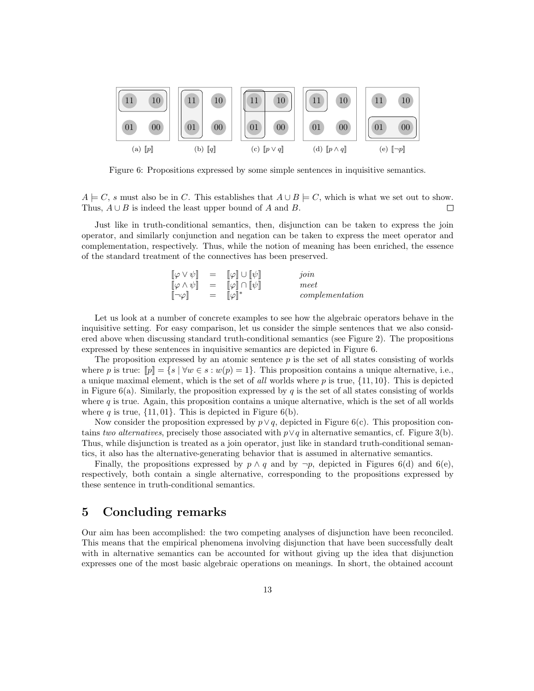<span id="page-13-2"></span>

<span id="page-13-4"></span><span id="page-13-3"></span><span id="page-13-1"></span>Figure 6: Propositions expressed by some simple sentences in inquisitive semantics.

 $A \models C$ , s must also be in C. This establishes that  $A \cup B \models C$ , which is what we set out to show. Thus,  $A \cup B$  is indeed the least upper bound of A and B.  $\Box$ 

Just like in truth-conditional semantics, then, disjunction can be taken to express the join operator, and similarly conjunction and negation can be taken to express the meet operator and complementation, respectively. Thus, while the notion of meaning has been enriched, the essence of the standard treatment of the connectives has been preserved.

<span id="page-13-6"></span><span id="page-13-5"></span>

| $\llbracket \varphi \vee \psi \rrbracket$ | $=$ $-$ | $\llbracket \varphi \rrbracket \cup \llbracket \psi \rrbracket$ | join            |
|-------------------------------------------|---------|-----------------------------------------------------------------|-----------------|
| $\ \varphi \wedge \psi\ $                 | $=$     | $\llbracket \varphi \rrbracket \cap \llbracket \psi \rrbracket$ | meet            |
| $\llbracket \neg \varphi \rrbracket$      | $=$     | $\llbracket \varphi \rrbracket^*$                               | complementation |

Let us look at a number of concrete examples to see how the algebraic operators behave in the inquisitive setting. For easy comparison, let us consider the simple sentences that we also considered above when discussing standard truth-conditional semantics (see Figure [2\)](#page-5-1). The propositions expressed by these sentences in inquisitive semantics are depicted in Figure [6.](#page-13-1)

The proposition expressed by an atomic sentence  $p$  is the set of all states consisting of worlds where p is true:  $[p] = \{s \mid \forall w \in s : w(p) = 1\}$ . This proposition contains a unique alternative, i.e., a unique maximal element, which is the set of all worlds where p is true,  $\{11, 10\}$ . This is depicted in Figure [6\(a\).](#page-13-2) Similarly, the proposition expressed by q is the set of all states consisting of worlds where  $q$  is true. Again, this proposition contains a unique alternative, which is the set of all worlds where q is true,  $\{11, 01\}$ . This is depicted in Figure [6\(b\).](#page-13-3)

Now consider the proposition expressed by  $p \vee q$ , depicted in Figure [6\(c\).](#page-13-4) This proposition contains two alternatives, precisely those associated with  $p \vee q$  in alternative semantics, cf. Figure [3\(b\).](#page-6-2) Thus, while disjunction is treated as a join operator, just like in standard truth-conditional semantics, it also has the alternative-generating behavior that is assumed in alternative semantics.

Finally, the propositions expressed by  $p \wedge q$  and by  $\neg p$ , depicted in Figures [6\(d\)](#page-13-5) and [6\(e\),](#page-13-6) respectively, both contain a single alternative, corresponding to the propositions expressed by these sentence in truth-conditional semantics.

## <span id="page-13-0"></span>5 Concluding remarks

Our aim has been accomplished: the two competing analyses of disjunction have been reconciled. This means that the empirical phenomena involving disjunction that have been successfully dealt with in alternative semantics can be accounted for without giving up the idea that disjunction expresses one of the most basic algebraic operations on meanings. In short, the obtained account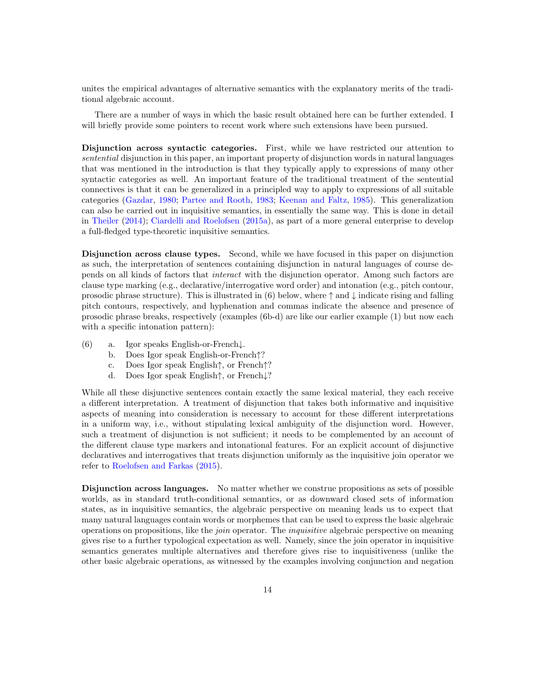unites the empirical advantages of alternative semantics with the explanatory merits of the traditional algebraic account.

There are a number of ways in which the basic result obtained here can be further extended. I will briefly provide some pointers to recent work where such extensions have been pursued.

Disjunction across syntactic categories. First, while we have restricted our attention to sentential disjunction in this paper, an important property of disjunction words in natural languages that was mentioned in the introduction is that they typically apply to expressions of many other syntactic categories as well. An important feature of the traditional treatment of the sentential connectives is that it can be generalized in a principled way to apply to expressions of all suitable categories [\(Gazdar,](#page-17-0) [1980;](#page-17-0) [Partee and Rooth,](#page-18-0) [1983;](#page-18-0) [Keenan and Faltz,](#page-18-1) [1985\)](#page-18-1). This generalization can also be carried out in inquisitive semantics, in essentially the same way. This is done in detail in [Theiler](#page-19-15) [\(2014\)](#page-19-15); [Ciardelli and Roelofsen](#page-17-14) [\(2015a\)](#page-17-14), as part of a more general enterprise to develop a full-fledged type-theoretic inquisitive semantics.

Disjunction across clause types. Second, while we have focused in this paper on disjunction as such, the interpretation of sentences containing disjunction in natural languages of course depends on all kinds of factors that interact with the disjunction operator. Among such factors are clause type marking (e.g., declarative/interrogative word order) and intonation (e.g., pitch contour, prosodic phrase structure). This is illustrated in (6) below, where  $\uparrow$  and  $\downarrow$  indicate rising and falling pitch contours, respectively, and hyphenation and commas indicate the absence and presence of prosodic phrase breaks, respectively (examples (6b-d) are like our earlier example [\(1\)](#page-6-3) but now each with a specific intonation pattern):

- (6) a. Igor speaks English-or-French↓.
	- b. Does Igor speak English-or-French↑?
	- c. Does Igor speak English↑, or French↑?
	- d. Does Igor speak English↑, or French↓?

While all these disjunctive sentences contain exactly the same lexical material, they each receive a different interpretation. A treatment of disjunction that takes both informative and inquisitive aspects of meaning into consideration is necessary to account for these different interpretations in a uniform way, i.e., without stipulating lexical ambiguity of the disjunction word. However, such a treatment of disjunction is not sufficient; it needs to be complemented by an account of the different clause type markers and intonational features. For an explicit account of disjunctive declaratives and interrogatives that treats disjunction uniformly as the inquisitive join operator we refer to [Roelofsen and Farkas](#page-19-8) [\(2015\)](#page-19-8).

Disjunction across languages. No matter whether we construe propositions as sets of possible worlds, as in standard truth-conditional semantics, or as downward closed sets of information states, as in inquisitive semantics, the algebraic perspective on meaning leads us to expect that many natural languages contain words or morphemes that can be used to express the basic algebraic operations on propositions, like the join operator. The inquisitive algebraic perspective on meaning gives rise to a further typological expectation as well. Namely, since the join operator in inquisitive semantics generates multiple alternatives and therefore gives rise to inquisitiveness (unlike the other basic algebraic operations, as witnessed by the examples involving conjunction and negation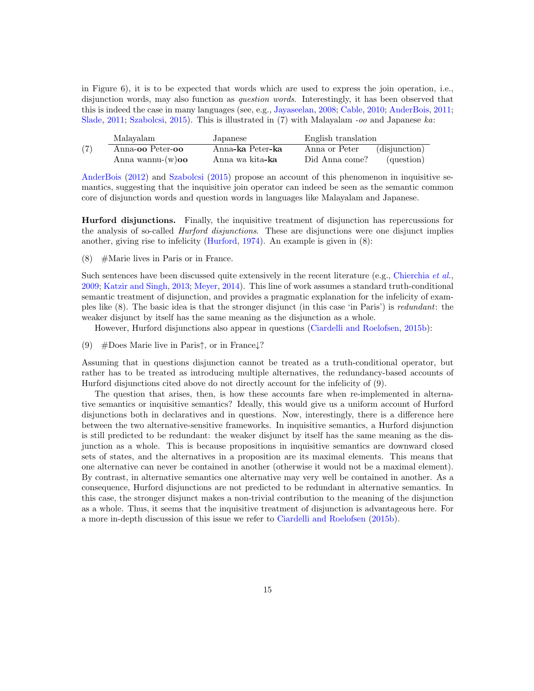in Figure [6\)](#page-13-1), it is to be expected that words which are used to express the join operation, i.e., disjunction words, may also function as question words. Interestingly, it has been observed that this is indeed the case in many languages (see, e.g., [Jayaseelan,](#page-18-14) [2008;](#page-18-14) [Cable,](#page-16-14) [2010;](#page-16-14) [AnderBois,](#page-16-0) [2011;](#page-16-0) [Slade,](#page-19-16) [2011;](#page-19-16) [Szabolcsi,](#page-19-17) [2015\)](#page-19-17). This is illustrated in (7) with Malayalam -oo and Japanese ka:

|     | Malayalam            | Japanese                | English translation |               |
|-----|----------------------|-------------------------|---------------------|---------------|
| (7) | Anna-oo Peter-oo     | Anna-ka Peter-ka        | Anna or Peter       | (disjunction) |
|     | Anna wannu- $(w)$ oo | Anna wa kita <b>-ka</b> | Did Anna come?      | (question)    |

[AnderBois](#page-16-15) [\(2012\)](#page-16-15) and [Szabolcsi](#page-19-17) [\(2015\)](#page-19-17) propose an account of this phenomenon in inquisitive semantics, suggesting that the inquisitive join operator can indeed be seen as the semantic common core of disjunction words and question words in languages like Malayalam and Japanese.

Hurford disjunctions. Finally, the inquisitive treatment of disjunction has repercussions for the analysis of so-called *Hurford disjunctions*. These are disjunctions were one disjunct implies another, giving rise to infelicity [\(Hurford,](#page-18-15) [1974\)](#page-18-15). An example is given in (8):

 $(8)$  #Marie lives in Paris or in France.

Such sentences have been discussed quite extensively in the recent literature (e.g., [Chierchia](#page-17-15) *et al.*, [2009;](#page-17-15) [Katzir and Singh,](#page-18-16) [2013;](#page-18-16) [Meyer,](#page-18-17) [2014\)](#page-18-17). This line of work assumes a standard truth-conditional semantic treatment of disjunction, and provides a pragmatic explanation for the infelicity of examples like (8). The basic idea is that the stronger disjunct (in this case 'in Paris') is redundant: the weaker disjunct by itself has the same meaning as the disjunction as a whole.

However, Hurford disjunctions also appear in questions [\(Ciardelli and Roelofsen,](#page-17-16) [2015b\)](#page-17-16):

(9) #Does Marie live in Paris↑, or in France↓?

Assuming that in questions disjunction cannot be treated as a truth-conditional operator, but rather has to be treated as introducing multiple alternatives, the redundancy-based accounts of Hurford disjunctions cited above do not directly account for the infelicity of (9).

The question that arises, then, is how these accounts fare when re-implemented in alternative semantics or inquisitive semantics? Ideally, this would give us a uniform account of Hurford disjunctions both in declaratives and in questions. Now, interestingly, there is a difference here between the two alternative-sensitive frameworks. In inquisitive semantics, a Hurford disjunction is still predicted to be redundant: the weaker disjunct by itself has the same meaning as the disjunction as a whole. This is because propositions in inquisitive semantics are downward closed sets of states, and the alternatives in a proposition are its maximal elements. This means that one alternative can never be contained in another (otherwise it would not be a maximal element). By contrast, in alternative semantics one alternative may very well be contained in another. As a consequence, Hurford disjunctions are not predicted to be redundant in alternative semantics. In this case, the stronger disjunct makes a non-trivial contribution to the meaning of the disjunction as a whole. Thus, it seems that the inquisitive treatment of disjunction is advantageous here. For a more in-depth discussion of this issue we refer to [Ciardelli and Roelofsen](#page-17-16) [\(2015b\)](#page-17-16).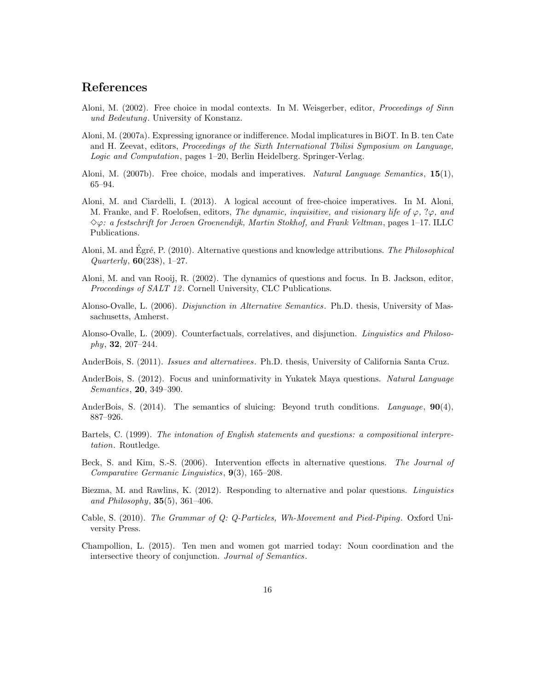# References

- <span id="page-16-2"></span>Aloni, M. (2002). Free choice in modal contexts. In M. Weisgerber, editor, Proceedings of Sinn und Bedeutung. University of Konstanz.
- <span id="page-16-7"></span>Aloni, M. (2007a). Expressing ignorance or indifference. Modal implicatures in BiOT. In B. ten Cate and H. Zeevat, editors, Proceedings of the Sixth International Tbilisi Symposium on Language, Logic and Computation, pages 1–20, Berlin Heidelberg. Springer-Verlag.
- <span id="page-16-3"></span>Aloni, M. (2007b). Free choice, modals and imperatives. Natural Language Semantics,  $15(1)$ , 65–94.
- <span id="page-16-4"></span>Aloni, M. and Ciardelli, I. (2013). A logical account of free-choice imperatives. In M. Aloni, M. Franke, and F. Roelofsen, editors, The dynamic, inquisitive, and visionary life of  $\varphi$ , ? $\varphi$ , and  $\Diamond \varphi$ : a festschrift for Jeroen Groenendijk, Martin Stokhof, and Frank Veltman, pages 1–17. ILLC Publications.
- <span id="page-16-12"></span>Aloni, M. and Egré, P. (2010). Alternative questions and knowledge attributions. The Philosophical  $Quarterly, 60(238), 1-27.$
- <span id="page-16-10"></span>Aloni, M. and van Rooij, R. (2002). The dynamics of questions and focus. In B. Jackson, editor, Proceedings of SALT 12. Cornell University, CLC Publications.
- <span id="page-16-5"></span>Alonso-Ovalle, L. (2006). Disjunction in Alternative Semantics. Ph.D. thesis, University of Massachusetts, Amherst.
- <span id="page-16-13"></span>Alonso-Ovalle, L. (2009). Counterfactuals, correlatives, and disjunction. Linguistics and Philosophy, 32, 207–244.
- <span id="page-16-0"></span>AnderBois, S. (2011). *Issues and alternatives*. Ph.D. thesis, University of California Santa Cruz.
- <span id="page-16-15"></span>AnderBois, S. (2012). Focus and uninformativity in Yukatek Maya questions. Natural Language Semantics, 20, 349–390.
- <span id="page-16-6"></span>AnderBois, S. (2014). The semantics of sluicing: Beyond truth conditions. Language,  $90(4)$ , 887–926.
- <span id="page-16-9"></span>Bartels, C. (1999). The intonation of English statements and questions: a compositional interpretation. Routledge.
- <span id="page-16-11"></span>Beck, S. and Kim, S.-S. (2006). Intervention effects in alternative questions. The Journal of Comparative Germanic Linguistics, 9(3), 165–208.
- <span id="page-16-1"></span>Biezma, M. and Rawlins, K. (2012). Responding to alternative and polar questions. Linguistics and Philosophy,  $35(5)$ ,  $361-406$ .
- <span id="page-16-14"></span>Cable, S. (2010). The Grammar of Q: Q-Particles, Wh-Movement and Pied-Piping. Oxford University Press.
- <span id="page-16-8"></span>Champollion, L. (2015). Ten men and women got married today: Noun coordination and the intersective theory of conjunction. Journal of Semantics.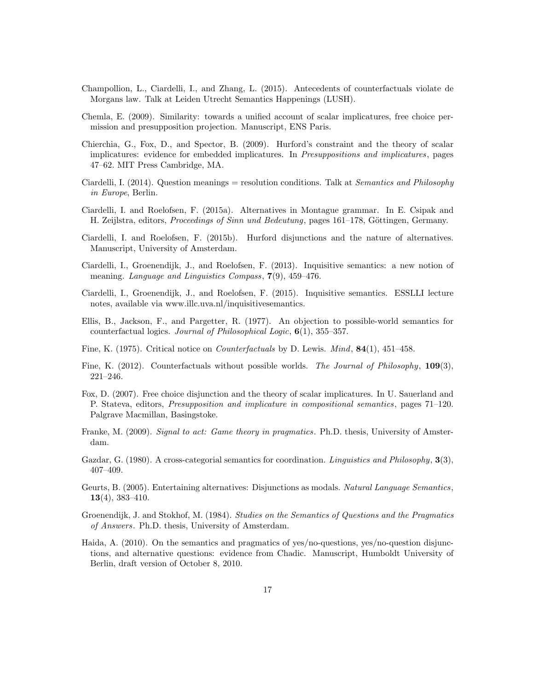- <span id="page-17-1"></span>Champollion, L., Ciardelli, I., and Zhang, L. (2015). Antecedents of counterfactuals violate de Morgans law. Talk at Leiden Utrecht Semantics Happenings (LUSH).
- <span id="page-17-6"></span>Chemla, E. (2009). Similarity: towards a unified account of scalar implicatures, free choice permission and presupposition projection. Manuscript, ENS Paris.
- <span id="page-17-15"></span>Chierchia, G., Fox, D., and Spector, B. (2009). Hurford's constraint and the theory of scalar implicatures: evidence for embedded implicatures. In Presuppositions and implicatures, pages 47–62. MIT Press Cambridge, MA.
- <span id="page-17-13"></span>Ciardelli, I. (2014). Question meanings = resolution conditions. Talk at Semantics and Philosophy in Europe, Berlin.
- <span id="page-17-14"></span>Ciardelli, I. and Roelofsen, F. (2015a). Alternatives in Montague grammar. In E. Csipak and H. Zeijlstra, editors, *Proceedings of Sinn und Bedeutung*, pages 161–178, Göttingen, Germany.
- <span id="page-17-16"></span>Ciardelli, I. and Roelofsen, F. (2015b). Hurford disjunctions and the nature of alternatives. Manuscript, University of Amsterdam.
- <span id="page-17-2"></span>Ciardelli, I., Groenendijk, J., and Roelofsen, F. (2013). Inquisitive semantics: a new notion of meaning. Language and Linguistics Compass, 7(9), 459–476.
- <span id="page-17-3"></span>Ciardelli, I., Groenendijk, J., and Roelofsen, F. (2015). Inquisitive semantics. ESSLLI lecture notes, available via www.illc.uva.nl/inquisitivesemantics.
- <span id="page-17-10"></span>Ellis, B., Jackson, F., and Pargetter, R. (1977). An objection to possible-world semantics for counterfactual logics. Journal of Philosophical Logic, 6(1), 355–357.
- <span id="page-17-9"></span>Fine, K. (1975). Critical notice on *Counterfactuals* by D. Lewis. *Mind*, **84**(1), 451–458.
- <span id="page-17-11"></span>Fine, K. (2012). Counterfactuals without possible worlds. The Journal of Philosophy, 109(3), 221–246.
- <span id="page-17-5"></span>Fox, D. (2007). Free choice disjunction and the theory of scalar implicatures. In U. Sauerland and P. Stateva, editors, Presupposition and implicature in compositional semantics, pages 71–120. Palgrave Macmillan, Basingstoke.
- <span id="page-17-7"></span>Franke, M. (2009). *Signal to act: Game theory in pragmatics*. Ph.D. thesis, University of Amsterdam.
- <span id="page-17-0"></span>Gazdar, G. (1980). A cross-categorial semantics for coordination. Linguistics and Philosophy, 3(3), 407–409.
- <span id="page-17-4"></span>Geurts, B. (2005). Entertaining alternatives: Disjunctions as modals. Natural Language Semantics, 13(4), 383–410.
- <span id="page-17-12"></span>Groenendijk, J. and Stokhof, M. (1984). Studies on the Semantics of Questions and the Pragmatics of Answers. Ph.D. thesis, University of Amsterdam.
- <span id="page-17-8"></span>Haida, A. (2010). On the semantics and pragmatics of yes/no-questions, yes/no-question disjunctions, and alternative questions: evidence from Chadic. Manuscript, Humboldt University of Berlin, draft version of October 8, 2010.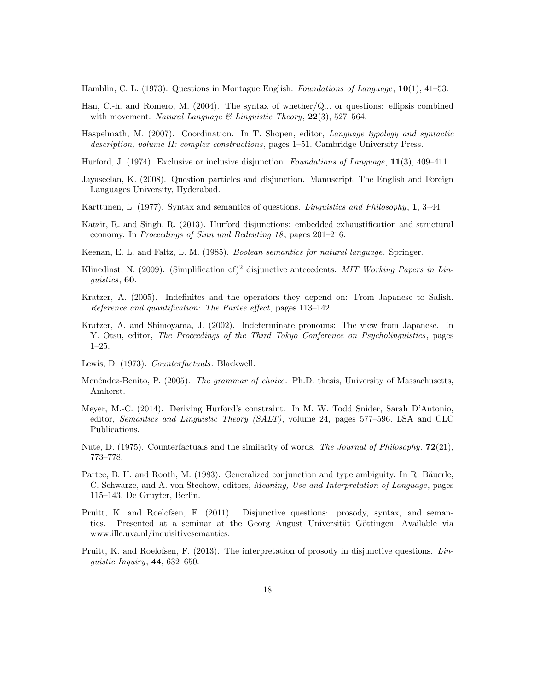<span id="page-18-4"></span>Hamblin, C. L. (1973). Questions in Montague English. Foundations of Language, 10(1), 41–53.

- <span id="page-18-8"></span>Han, C.-h. and Romero, M. (2004). The syntax of whether/Q... or questions: ellipsis combined with movement. Natural Language & Linguistic Theory,  $22(3)$ , 527–564.
- <span id="page-18-3"></span>Haspelmath, M. (2007). Coordination. In T. Shopen, editor, Language typology and syntactic description, volume II: complex constructions, pages 1–51. Cambridge University Press.
- <span id="page-18-15"></span>Hurford, J. (1974). Exclusive or inclusive disjunction. Foundations of Language, 11(3), 409–411.
- <span id="page-18-14"></span>Jayaseelan, K. (2008). Question particles and disjunction. Manuscript, The English and Foreign Languages University, Hyderabad.
- <span id="page-18-13"></span>Karttunen, L. (1977). Syntax and semantics of questions. Linguistics and Philosophy, 1, 3–44.
- <span id="page-18-16"></span>Katzir, R. and Singh, R. (2013). Hurford disjunctions: embedded exhaustification and structural economy. In Proceedings of Sinn und Bedeuting 18, pages 201-216.
- <span id="page-18-1"></span>Keenan, E. L. and Faltz, L. M. (1985). Boolean semantics for natural language. Springer.
- <span id="page-18-2"></span>Klinedinst, N. (2009). (Simplification of)<sup>2</sup> disjunctive antecedents. MIT Working Papers in Linguistics, 60.
- <span id="page-18-6"></span>Kratzer, A. (2005). Indefinites and the operators they depend on: From Japanese to Salish. Reference and quantification: The Partee effect, pages 113–142.
- <span id="page-18-5"></span>Kratzer, A. and Shimoyama, J. (2002). Indeterminate pronouns: The view from Japanese. In Y. Otsu, editor, The Proceedings of the Third Tokyo Conference on Psycholinguistics, pages 1–25.
- <span id="page-18-11"></span>Lewis, D. (1973). Counterfactuals. Blackwell.
- <span id="page-18-7"></span>Menéndez-Benito, P. (2005). The grammar of choice. Ph.D. thesis, University of Massachusetts, Amherst.
- <span id="page-18-17"></span>Meyer, M.-C. (2014). Deriving Hurford's constraint. In M. W. Todd Snider, Sarah D'Antonio, editor, Semantics and Linguistic Theory (SALT), volume 24, pages 577–596. LSA and CLC Publications.
- <span id="page-18-12"></span>Nute, D. (1975). Counterfactuals and the similarity of words. The Journal of Philosophy, 72(21), 773–778.
- <span id="page-18-0"></span>Partee, B. H. and Rooth, M. (1983). Generalized conjunction and type ambiguity. In R. Bäuerle, C. Schwarze, and A. von Stechow, editors, Meaning, Use and Interpretation of Language, pages 115–143. De Gruyter, Berlin.
- <span id="page-18-10"></span>Pruitt, K. and Roelofsen, F. (2011). Disjunctive questions: prosody, syntax, and semantics. Presented at a seminar at the Georg August Universität Göttingen. Available via www.illc.uva.nl/inquisitivesemantics.
- <span id="page-18-9"></span>Pruitt, K. and Roelofsen, F. (2013). The interpretation of prosody in disjunctive questions. Linguistic Inquiry, 44, 632–650.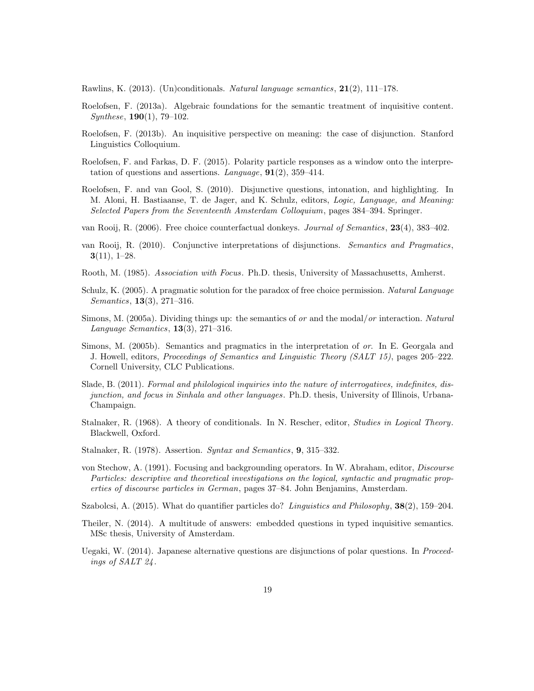<span id="page-19-4"></span>Rawlins, K. (2013). (Un)conditionals. Natural language semantics, 21(2), 111–178.

- <span id="page-19-14"></span>Roelofsen, F. (2013a). Algebraic foundations for the semantic treatment of inquisitive content.  $Synthese, 190(1), 79-102.$
- <span id="page-19-9"></span>Roelofsen, F. (2013b). An inquisitive perspective on meaning: the case of disjunction. Stanford Linguistics Colloquium.
- <span id="page-19-8"></span>Roelofsen, F. and Farkas, D. F. (2015). Polarity particle responses as a window onto the interpretation of questions and assertions. Language,  $91(2)$ , 359–414.
- <span id="page-19-1"></span>Roelofsen, F. and van Gool, S. (2010). Disjunctive questions, intonation, and highlighting. In M. Aloni, H. Bastiaanse, T. de Jager, and K. Schulz, editors, Logic, Language, and Meaning: Selected Papers from the Seventeenth Amsterdam Colloquium, pages 384–394. Springer.
- <span id="page-19-12"></span>van Rooij, R. (2006). Free choice counterfactual donkeys. Journal of Semantics, 23(4), 383–402.
- <span id="page-19-6"></span>van Rooij, R. (2010). Conjunctive interpretations of disjunctions. Semantics and Pragmatics,  $3(11), 1-28.$
- <span id="page-19-7"></span>Rooth, M. (1985). Association with Focus. Ph.D. thesis, University of Massachusetts, Amherst.
- <span id="page-19-5"></span>Schulz, K. (2005). A pragmatic solution for the paradox of free choice permission. Natural Language Semantics, **13**(3), 271-316.
- <span id="page-19-2"></span>Simons, M. (2005a). Dividing things up: the semantics of or and the modal/or interaction. Natural Language Semantics,  $13(3)$ ,  $271-316$ .
- <span id="page-19-3"></span>Simons, M. (2005b). Semantics and pragmatics in the interpretation of or. In E. Georgala and J. Howell, editors, Proceedings of Semantics and Linguistic Theory (SALT 15), pages 205–222. Cornell University, CLC Publications.
- <span id="page-19-16"></span>Slade, B. (2011). Formal and philological inquiries into the nature of interrogatives, indefinites, disjunction, and focus in Sinhala and other languages. Ph.D. thesis, University of Illinois, Urbana-Champaign.
- <span id="page-19-11"></span>Stalnaker, R. (1968). A theory of conditionals. In N. Rescher, editor, Studies in Logical Theory. Blackwell, Oxford.
- <span id="page-19-13"></span>Stalnaker, R. (1978). Assertion. Syntax and Semantics, 9, 315–332.
- <span id="page-19-0"></span>von Stechow, A. (1991). Focusing and backgrounding operators. In W. Abraham, editor, Discourse Particles: descriptive and theoretical investigations on the logical, syntactic and pragmatic properties of discourse particles in German, pages 37–84. John Benjamins, Amsterdam.
- <span id="page-19-17"></span>Szabolcsi, A. (2015). What do quantifier particles do? Linguistics and Philosophy,  $38(2)$ , 159–204.
- <span id="page-19-15"></span>Theiler, N. (2014). A multitude of answers: embedded questions in typed inquisitive semantics. MSc thesis, University of Amsterdam.
- <span id="page-19-10"></span>Uegaki, W. (2014). Japanese alternative questions are disjunctions of polar questions. In *Proceed*ings of SALT 24 .